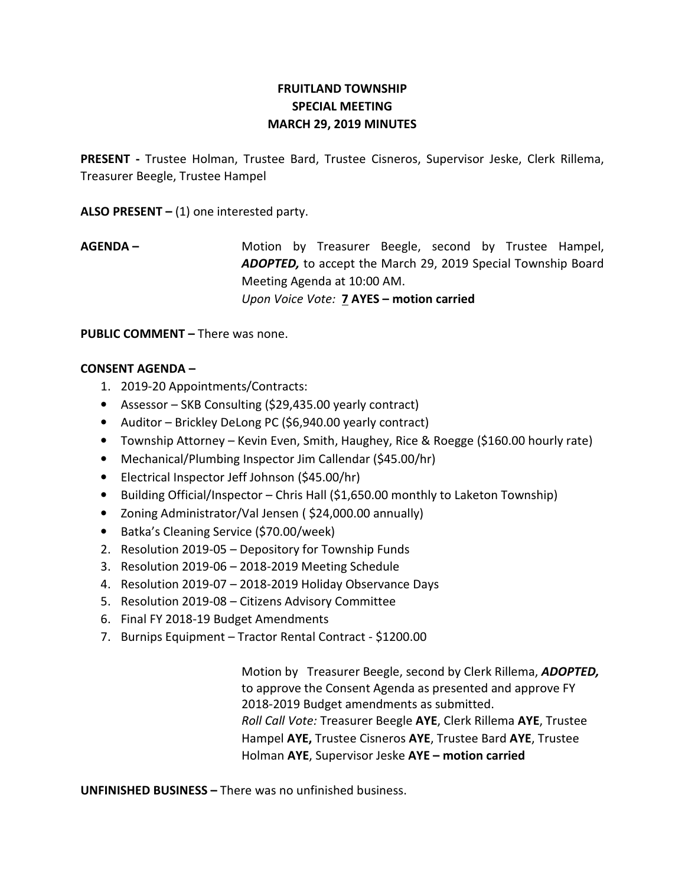## FRUITLAND TOWNSHIP SPECIAL MEETING MARCH 29, 2019 MINUTES

PRESENT - Trustee Holman, Trustee Bard, Trustee Cisneros, Supervisor Jeske, Clerk Rillema, Treasurer Beegle, Trustee Hampel

ALSO PRESENT  $-$  (1) one interested party.

AGENDA – The Motion by Treasurer Beegle, second by Trustee Hampel, ADOPTED, to accept the March 29, 2019 Special Township Board Meeting Agenda at 10:00 AM. Upon Voice Vote: 7 AYES – motion carried

PUBLIC COMMENT – There was none.

## CONSENT AGENDA –

- 1. 2019-20 Appointments/Contracts:
- Assessor SKB Consulting (\$29,435.00 yearly contract)
- Auditor Brickley DeLong PC (\$6,940.00 yearly contract)
- Township Attorney Kevin Even, Smith, Haughey, Rice & Roegge (\$160.00 hourly rate)
- Mechanical/Plumbing Inspector Jim Callendar (\$45.00/hr)
- Electrical Inspector Jeff Johnson (\$45.00/hr)
- Building Official/Inspector Chris Hall (\$1,650.00 monthly to Laketon Township)
- Zoning Administrator/Val Jensen ( \$24,000.00 annually)
- Batka's Cleaning Service (\$70.00/week)
- 2. Resolution 2019-05 Depository for Township Funds
- 3. Resolution 2019-06 2018-2019 Meeting Schedule
- 4. Resolution 2019-07 2018-2019 Holiday Observance Days
- 5. Resolution 2019-08 Citizens Advisory Committee
- 6. Final FY 2018-19 Budget Amendments
- 7. Burnips Equipment Tractor Rental Contract \$1200.00

Motion by Treasurer Beegle, second by Clerk Rillema, ADOPTED, to approve the Consent Agenda as presented and approve FY 2018-2019 Budget amendments as submitted. Roll Call Vote: Treasurer Beegle AYE, Clerk Rillema AYE, Trustee Hampel AYE, Trustee Cisneros AYE, Trustee Bard AYE, Trustee Holman AYE, Supervisor Jeske AYE - motion carried

UNFINISHED BUSINESS – There was no unfinished business.